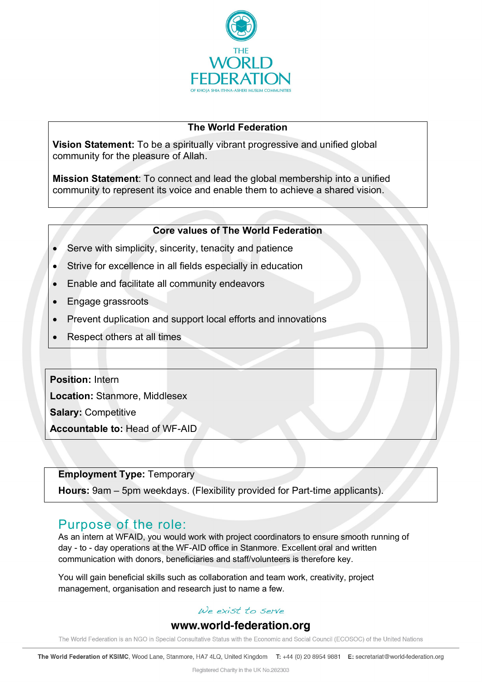

#### **The World Federation**

**Vision Statement:** To be a spiritually vibrant progressive and unified global community for the pleasure of Allah.

**Mission Statement**: To connect and lead the global membership into a unified community to represent its voice and enable them to achieve a shared vision.

#### **Core values of The World Federation**

- Serve with simplicity, sincerity, tenacity and patience
- Strive for excellence in all fields especially in education
- Enable and facilitate all community endeavors
- Engage grassroots
- Prevent duplication and support local efforts and innovations
- Respect others at all times

**Position:** Intern **Location:** Stanmore, Middlesex **Salary:** Competitive **Accountable to:** Head of WF-AID

**Employment Type:** Temporary

**Hours:** 9am – 5pm weekdays. (Flexibility provided for Part-time applicants).

## Purpose of the role:

As an intern at WFAID, you would work with project coordinators to ensure smooth running of day - to - day operations at the WF-AID office in Stanmore. Excellent oral and written communication with donors, beneficiaries and staff/volunteers is therefore key.

You will gain beneficial skills such as collaboration and team work, creativity, project management, organisation and research just to name a few.

### We exist to serve

### www.world-federation.org

The World Federation is an NGO in Special Consultative Status with the Economic and Social Council (ECOSOC) of the United Nations